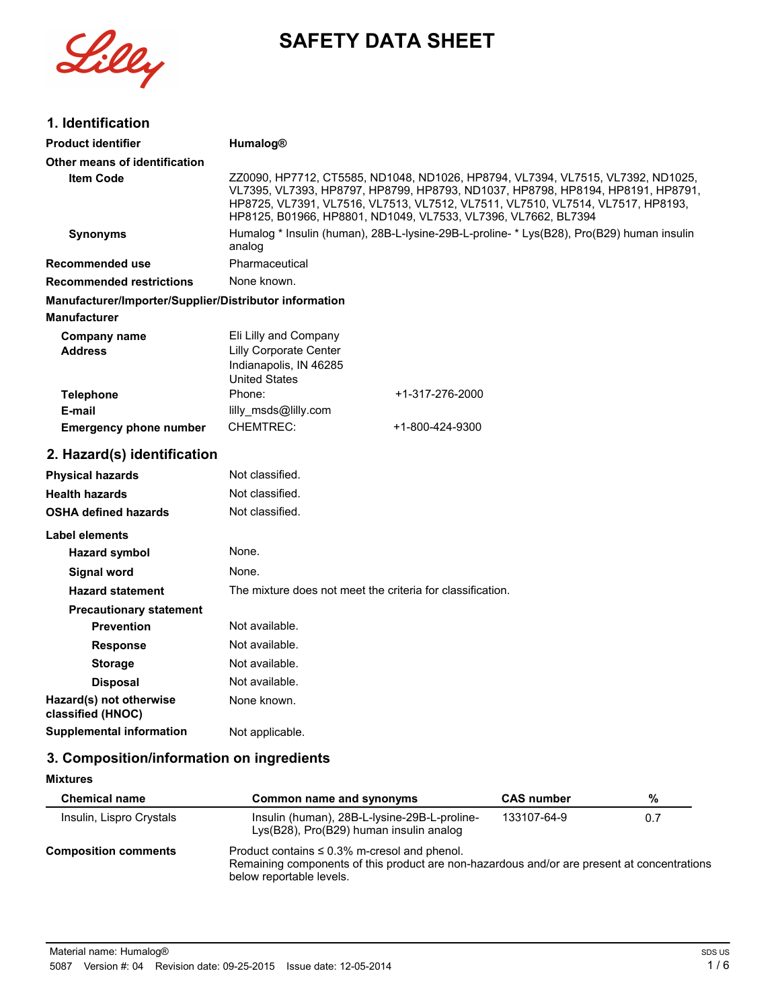

# **SAFETY DATA SHEET**

## **1. Identification**

| <b>Product identifier</b>                              | Humalog®                                                                                                                                                                                                                                                                                                                |  |
|--------------------------------------------------------|-------------------------------------------------------------------------------------------------------------------------------------------------------------------------------------------------------------------------------------------------------------------------------------------------------------------------|--|
| Other means of identification                          |                                                                                                                                                                                                                                                                                                                         |  |
| <b>Item Code</b>                                       | ZZ0090, HP7712, CT5585, ND1048, ND1026, HP8794, VL7394, VL7515, VL7392, ND1025,<br>VL7395, VL7393, HP8797, HP8799, HP8793, ND1037, HP8798, HP8194, HP8191, HP8791,<br>HP8725, VL7391, VL7516, VL7513, VL7512, VL7511, VL7510, VL7514, VL7517, HP8193,<br>HP8125, B01966, HP8801, ND1049, VL7533, VL7396, VL7662, BL7394 |  |
| <b>Synonyms</b>                                        | Humalog * Insulin (human), 28B-L-lysine-29B-L-proline- * Lys(B28), Pro(B29) human insulin<br>analog                                                                                                                                                                                                                     |  |
| Recommended use                                        | Pharmaceutical                                                                                                                                                                                                                                                                                                          |  |
| <b>Recommended restrictions</b>                        | None known.                                                                                                                                                                                                                                                                                                             |  |
| Manufacturer/Importer/Supplier/Distributor information |                                                                                                                                                                                                                                                                                                                         |  |
| <b>Manufacturer</b>                                    |                                                                                                                                                                                                                                                                                                                         |  |
| <b>Company name</b><br><b>Address</b>                  | Eli Lilly and Company<br><b>Lilly Corporate Center</b><br>Indianapolis, IN 46285<br><b>United States</b>                                                                                                                                                                                                                |  |
| <b>Telephone</b>                                       | Phone:<br>+1-317-276-2000                                                                                                                                                                                                                                                                                               |  |
| E-mail                                                 | lilly_msds@lilly.com                                                                                                                                                                                                                                                                                                    |  |
| <b>Emergency phone number</b>                          | <b>CHEMTREC:</b><br>+1-800-424-9300                                                                                                                                                                                                                                                                                     |  |
| 2. Hazard(s) identification                            |                                                                                                                                                                                                                                                                                                                         |  |
| <b>Physical hazards</b>                                | Not classified.                                                                                                                                                                                                                                                                                                         |  |
| <b>Health hazards</b>                                  | Not classified.                                                                                                                                                                                                                                                                                                         |  |
| <b>OSHA defined hazards</b>                            | Not classified.                                                                                                                                                                                                                                                                                                         |  |
| Label elements                                         |                                                                                                                                                                                                                                                                                                                         |  |
| <b>Hazard symbol</b>                                   | None.                                                                                                                                                                                                                                                                                                                   |  |
| <b>Signal word</b>                                     | None.                                                                                                                                                                                                                                                                                                                   |  |
| <b>Hazard statement</b>                                | The mixture does not meet the criteria for classification.                                                                                                                                                                                                                                                              |  |
| <b>Precautionary statement</b>                         |                                                                                                                                                                                                                                                                                                                         |  |
| <b>Prevention</b>                                      | Not available.                                                                                                                                                                                                                                                                                                          |  |
| <b>Response</b>                                        | Not available.                                                                                                                                                                                                                                                                                                          |  |
| <b>Storage</b>                                         | Not available.                                                                                                                                                                                                                                                                                                          |  |
| <b>Disposal</b>                                        | Not available.                                                                                                                                                                                                                                                                                                          |  |
| Hazard(s) not otherwise<br>classified (HNOC)           | None known.                                                                                                                                                                                                                                                                                                             |  |
| <b>Supplemental information</b>                        | Not applicable.                                                                                                                                                                                                                                                                                                         |  |
|                                                        |                                                                                                                                                                                                                                                                                                                         |  |

## **3. Composition/information on ingredients**

#### **Mixtures**

| <b>Chemical name</b>        | Common name and synonyms                                                                                                                                                      | <b>CAS number</b> | %   |
|-----------------------------|-------------------------------------------------------------------------------------------------------------------------------------------------------------------------------|-------------------|-----|
| Insulin, Lispro Crystals    | Insulin (human), 28B-L-Iysine-29B-L-proline-<br>Lys(B28), Pro(B29) human insulin analog                                                                                       | 133107-64-9       | 0.7 |
| <b>Composition comments</b> | Product contains $\leq 0.3\%$ m-cresol and phenol.<br>Remaining components of this product are non-hazardous and/or are present at concentrations<br>below reportable levels. |                   |     |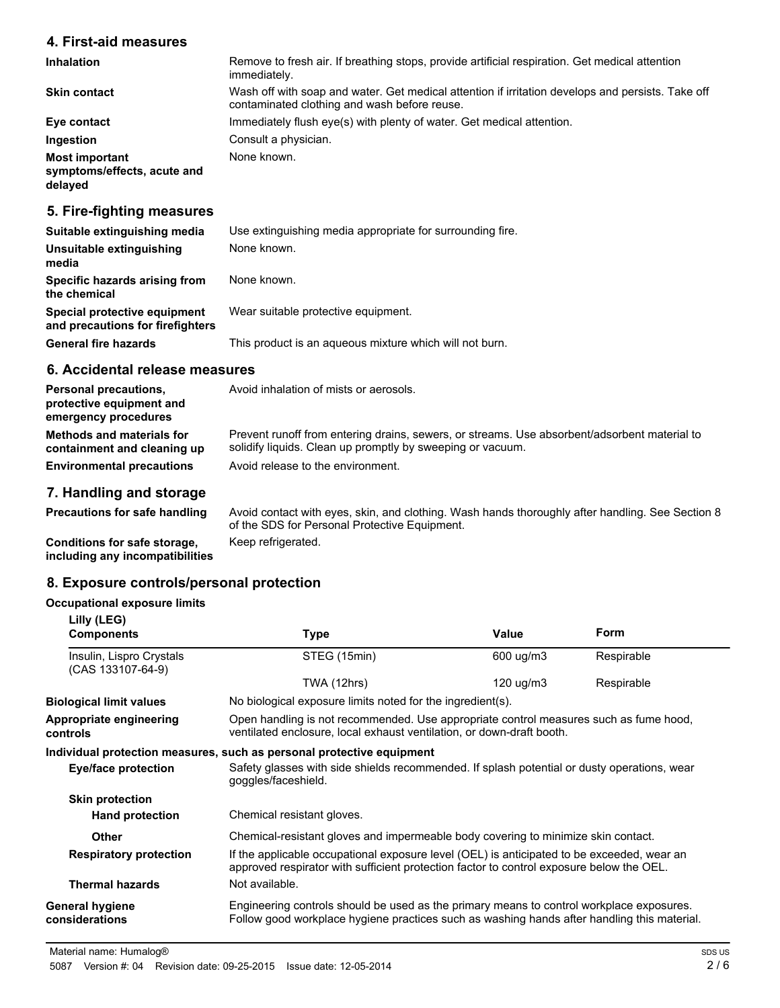#### **4. First-aid measures**

| <b>Inhalation</b>                                               | Remove to fresh air. If breathing stops, provide artificial respiration. Get medical attention<br>immediately.                                    |
|-----------------------------------------------------------------|---------------------------------------------------------------------------------------------------------------------------------------------------|
| <b>Skin contact</b>                                             | Wash off with soap and water. Get medical attention if irritation develops and persists. Take off<br>contaminated clothing and wash before reuse. |
| Eye contact                                                     | Immediately flush eye(s) with plenty of water. Get medical attention.                                                                             |
| Ingestion                                                       | Consult a physician.                                                                                                                              |
| <b>Most important</b><br>symptoms/effects, acute and<br>delayed | None known.                                                                                                                                       |

## **5. Fire-fighting measures**

| Suitable extinguishing media                                     | Use extinguishing media appropriate for surrounding fire. |
|------------------------------------------------------------------|-----------------------------------------------------------|
| Unsuitable extinguishing<br>media                                | None known.                                               |
| Specific hazards arising from<br>the chemical                    | None known.                                               |
| Special protective equipment<br>and precautions for firefighters | Wear suitable protective equipment.                       |
| <b>General fire hazards</b>                                      | This product is an aqueous mixture which will not burn.   |

#### **6. Accidental release measures**

| <b>Personal precautions,</b><br>protective equipment and<br>emergency procedures                    | Avoid inhalation of mists or aerosols.                                                                                                                                                          |
|-----------------------------------------------------------------------------------------------------|-------------------------------------------------------------------------------------------------------------------------------------------------------------------------------------------------|
| <b>Methods and materials for</b><br>containment and cleaning up<br><b>Environmental precautions</b> | Prevent runoff from entering drains, sewers, or streams. Use absorbent/adsorbent material to<br>solidify liquids. Clean up promptly by sweeping or vacuum.<br>Avoid release to the environment. |
|                                                                                                     |                                                                                                                                                                                                 |

### **7. Handling and storage**

Avoid contact with eyes, skin, and clothing. Wash hands thoroughly after handling. See Section 8 of the SDS for Personal Protective Equipment. **Precautions for safe handling Conditions for safe storage,** Keep refrigerated.

**including any incompatibilities**

#### **8. Exposure controls/personal protection**

#### **Occupational exposure limits Lilly (LEG)**

| LIIIY (LEG)<br><b>Components</b>              | <b>Type</b>                                                                                                                                                                             | Value               | Form       |
|-----------------------------------------------|-----------------------------------------------------------------------------------------------------------------------------------------------------------------------------------------|---------------------|------------|
| Insulin, Lispro Crystals<br>(CAS 133107-64-9) | STEG (15min)                                                                                                                                                                            | 600 ug/m3           | Respirable |
|                                               | TWA (12hrs)                                                                                                                                                                             | $120 \text{ u}g/m3$ | Respirable |
| <b>Biological limit values</b>                | No biological exposure limits noted for the ingredient(s).                                                                                                                              |                     |            |
| Appropriate engineering<br>controls           | Open handling is not recommended. Use appropriate control measures such as fume hood,<br>ventilated enclosure, local exhaust ventilation, or down-draft booth.                          |                     |            |
|                                               | Individual protection measures, such as personal protective equipment                                                                                                                   |                     |            |
| Eye/face protection                           | Safety glasses with side shields recommended. If splash potential or dusty operations, wear<br>goggles/faceshield.                                                                      |                     |            |
| <b>Skin protection</b>                        |                                                                                                                                                                                         |                     |            |
| <b>Hand protection</b>                        | Chemical resistant gloves.                                                                                                                                                              |                     |            |
| Other                                         | Chemical-resistant gloves and impermeable body covering to minimize skin contact.                                                                                                       |                     |            |
| <b>Respiratory protection</b>                 | If the applicable occupational exposure level (OEL) is anticipated to be exceeded, wear an<br>approved respirator with sufficient protection factor to control exposure below the OEL.  |                     |            |
| <b>Thermal hazards</b>                        | Not available.                                                                                                                                                                          |                     |            |
| <b>General hygiene</b><br>considerations      | Engineering controls should be used as the primary means to control workplace exposures.<br>Follow good workplace hygiene practices such as washing hands after handling this material. |                     |            |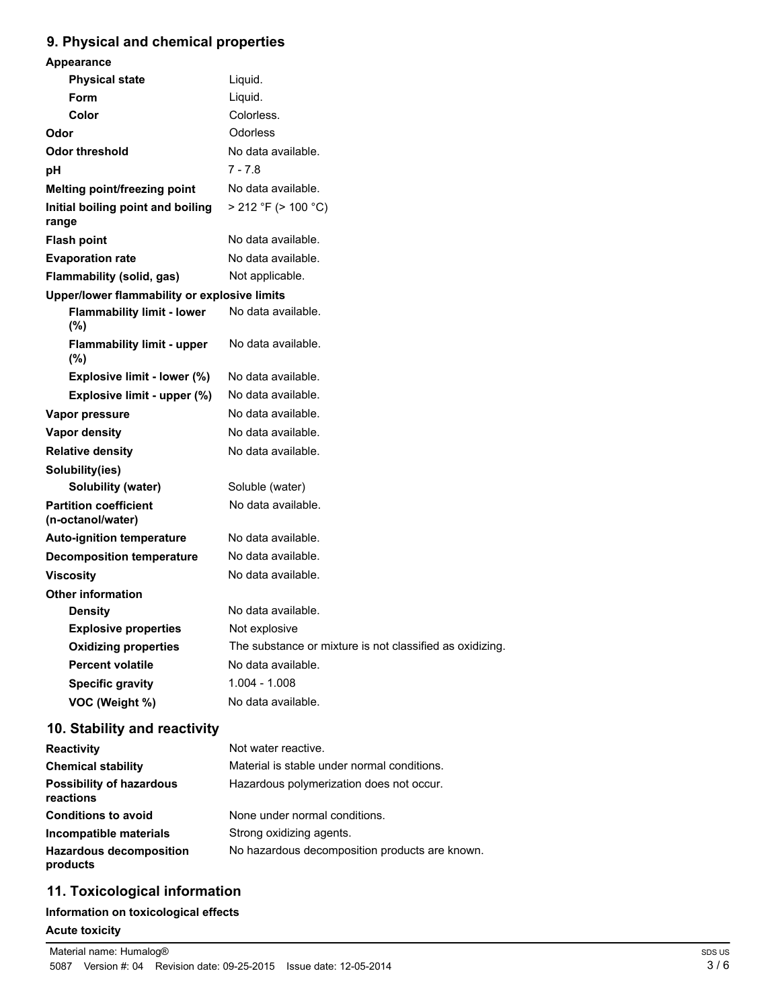## **9. Physical and chemical properties**

| Appearance                                        |                                                          |
|---------------------------------------------------|----------------------------------------------------------|
| <b>Physical state</b>                             | Liquid.                                                  |
| Form                                              | Liquid.                                                  |
| Color                                             | Colorless.                                               |
| Odor                                              | Odorless                                                 |
| <b>Odor threshold</b>                             | No data available.                                       |
| рH                                                | 7 - 7.8                                                  |
| Melting point/freezing point                      | No data available.                                       |
| Initial boiling point and boiling<br>range        | $> 212$ °F ( $> 100$ °C)                                 |
| <b>Flash point</b>                                | No data available.                                       |
| <b>Evaporation rate</b>                           | No data available.                                       |
| Flammability (solid, gas)                         | Not applicable.                                          |
| Upper/lower flammability or explosive limits      |                                                          |
| <b>Flammability limit - lower</b><br>(%)          | No data available.                                       |
| <b>Flammability limit - upper</b><br>(%)          | No data available.                                       |
| Explosive limit - lower (%)                       | No data available.                                       |
| Explosive limit - upper (%)                       | No data available.                                       |
| Vapor pressure                                    | No data available.                                       |
| <b>Vapor density</b>                              | No data available.                                       |
| <b>Relative density</b>                           | No data available.                                       |
| Solubility(ies)                                   |                                                          |
| <b>Solubility (water)</b>                         | Soluble (water)                                          |
| <b>Partition coefficient</b><br>(n-octanol/water) | No data available.                                       |
| <b>Auto-ignition temperature</b>                  | No data available.                                       |
| <b>Decomposition temperature</b>                  | No data available.                                       |
| <b>Viscosity</b>                                  | No data available.                                       |
| <b>Other information</b>                          |                                                          |
| <b>Density</b>                                    | No data available.                                       |
| <b>Explosive properties</b>                       | Not explosive                                            |
| <b>Oxidizing properties</b>                       | The substance or mixture is not classified as oxidizing. |
| <b>Percent volatile</b>                           | No data available.                                       |
| <b>Specific gravity</b>                           | $1.004 - 1.008$                                          |
| VOC (Weight %)                                    | No data available.                                       |
|                                                   |                                                          |

## **10. Stability and reactivity**

| <b>Reactivity</b>                            | Not water reactive.                            |
|----------------------------------------------|------------------------------------------------|
| <b>Chemical stability</b>                    | Material is stable under normal conditions.    |
| <b>Possibility of hazardous</b><br>reactions | Hazardous polymerization does not occur.       |
| <b>Conditions to avoid</b>                   | None under normal conditions.                  |
| Incompatible materials                       | Strong oxidizing agents.                       |
| <b>Hazardous decomposition</b><br>products   | No hazardous decomposition products are known. |

## **11. Toxicological information**

### **Information on toxicological effects**

#### **Acute toxicity**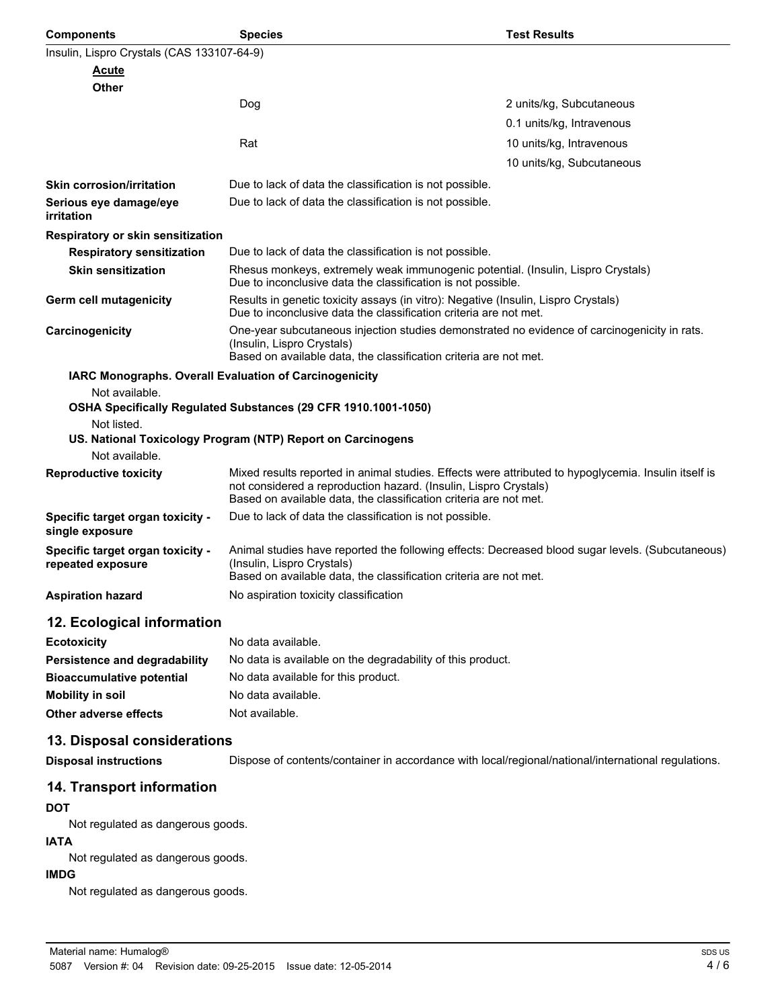| <b>Components</b>                                     | <b>Species</b>                                                                                                                                                                                                                                | <b>Test Results</b>       |
|-------------------------------------------------------|-----------------------------------------------------------------------------------------------------------------------------------------------------------------------------------------------------------------------------------------------|---------------------------|
| Insulin, Lispro Crystals (CAS 133107-64-9)            |                                                                                                                                                                                                                                               |                           |
| <u>Acute</u>                                          |                                                                                                                                                                                                                                               |                           |
| Other                                                 |                                                                                                                                                                                                                                               |                           |
|                                                       | Dog                                                                                                                                                                                                                                           | 2 units/kg, Subcutaneous  |
|                                                       |                                                                                                                                                                                                                                               | 0.1 units/kg, Intravenous |
|                                                       | Rat                                                                                                                                                                                                                                           | 10 units/kg, Intravenous  |
|                                                       |                                                                                                                                                                                                                                               | 10 units/kg, Subcutaneous |
| <b>Skin corrosion/irritation</b>                      | Due to lack of data the classification is not possible.                                                                                                                                                                                       |                           |
| Serious eye damage/eye<br>irritation                  | Due to lack of data the classification is not possible.                                                                                                                                                                                       |                           |
| Respiratory or skin sensitization                     |                                                                                                                                                                                                                                               |                           |
| <b>Respiratory sensitization</b>                      | Due to lack of data the classification is not possible.                                                                                                                                                                                       |                           |
| <b>Skin sensitization</b>                             | Rhesus monkeys, extremely weak immunogenic potential. (Insulin, Lispro Crystals)<br>Due to inconclusive data the classification is not possible.                                                                                              |                           |
| Germ cell mutagenicity                                | Results in genetic toxicity assays (in vitro): Negative (Insulin, Lispro Crystals)<br>Due to inconclusive data the classification criteria are not met.                                                                                       |                           |
| Carcinogenicity                                       | One-year subcutaneous injection studies demonstrated no evidence of carcinogenicity in rats.<br>(Insulin, Lispro Crystals)<br>Based on available data, the classification criteria are not met.                                               |                           |
|                                                       | <b>IARC Monographs. Overall Evaluation of Carcinogenicity</b>                                                                                                                                                                                 |                           |
| Not available.                                        | OSHA Specifically Regulated Substances (29 CFR 1910.1001-1050)                                                                                                                                                                                |                           |
| Not listed.                                           |                                                                                                                                                                                                                                               |                           |
|                                                       | US. National Toxicology Program (NTP) Report on Carcinogens                                                                                                                                                                                   |                           |
| Not available.                                        |                                                                                                                                                                                                                                               |                           |
| <b>Reproductive toxicity</b>                          | Mixed results reported in animal studies. Effects were attributed to hypoglycemia. Insulin itself is<br>not considered a reproduction hazard. (Insulin, Lispro Crystals)<br>Based on available data, the classification criteria are not met. |                           |
| Specific target organ toxicity -<br>single exposure   | Due to lack of data the classification is not possible.                                                                                                                                                                                       |                           |
| Specific target organ toxicity -<br>repeated exposure | Animal studies have reported the following effects: Decreased blood sugar levels. (Subcutaneous)<br>(Insulin, Lispro Crystals)<br>Based on available data, the classification criteria are not met.                                           |                           |
| <b>Aspiration hazard</b>                              | No aspiration toxicity classification                                                                                                                                                                                                         |                           |
| 12. Ecological information                            |                                                                                                                                                                                                                                               |                           |
| <b>Ecotoxicity</b>                                    | No data available.                                                                                                                                                                                                                            |                           |
| Persistence and degradability                         | No data is available on the degradability of this product.                                                                                                                                                                                    |                           |
| <b>Bioaccumulative potential</b>                      | No data available for this product.                                                                                                                                                                                                           |                           |
| <b>Mobility in soil</b>                               | No data available.                                                                                                                                                                                                                            |                           |
| Other adverse effects                                 | Not available.                                                                                                                                                                                                                                |                           |
| 13. Disposal considerations                           |                                                                                                                                                                                                                                               |                           |

**Disposal instructions** Dispose of contents/container in accordance with local/regional/national/international regulations.

#### **14. Transport information**

#### **DOT**

Not regulated as dangerous goods.

#### **IATA**

Not regulated as dangerous goods.

#### **IMDG**

Not regulated as dangerous goods.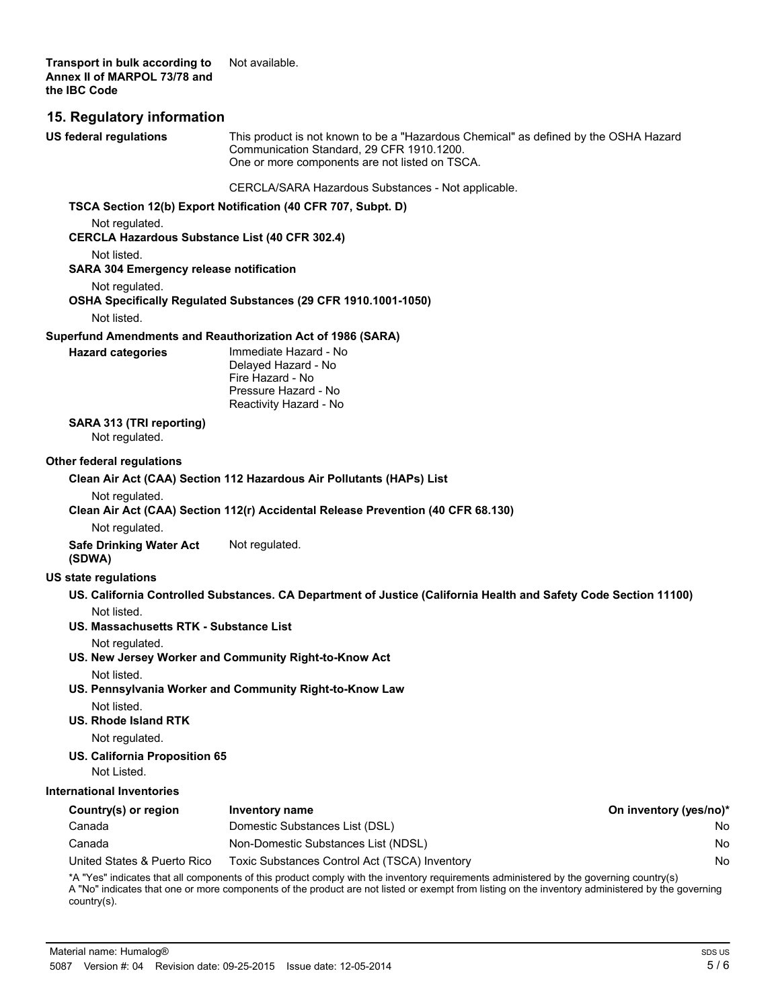**Transport in bulk according to** Not available. **Annex II of MARPOL 73/78 and the IBC Code**

#### **15. Regulatory information**

This product is not known to be a "Hazardous Chemical" as defined by the OSHA Hazard Communication Standard, 29 CFR 1910.1200. One or more components are not listed on TSCA. CERCLA/SARA Hazardous Substances - Not applicable. **US federal regulations TSCA Section 12(b) Export Notification (40 CFR 707, Subpt. D)** Not regulated. **CERCLA Hazardous Substance List (40 CFR 302.4)** Not listed. **SARA 304 Emergency release notification** Not regulated. **OSHA Specifically Regulated Substances (29 CFR 1910.1001-1050)** Not listed. **Superfund Amendments and Reauthorization Act of 1986 (SARA)** Immediate Hazard - No Delayed Hazard - No Fire Hazard - No Pressure Hazard - No Reactivity Hazard - No **Hazard categories SARA 313 (TRI reporting)** Not regulated. **Other federal regulations Clean Air Act (CAA) Section 112 Hazardous Air Pollutants (HAPs) List** Not regulated. **Clean Air Act (CAA) Section 112(r) Accidental Release Prevention (40 CFR 68.130)** Not regulated. **Safe Drinking Water Act** Not regulated. **(SDWA) US state regulations US. California Controlled Substances. CA Department of Justice (California Health and Safety Code Section 11100)** Not listed. **US. Massachusetts RTK - Substance List** Not regulated. **US. New Jersey Worker and Community Right-to-Know Act** Not listed. **US. Pennsylvania Worker and Community Right-to-Know Law** Not listed. **US. Rhode Island RTK** Not regulated. **US. California Proposition 65** Not Listed. **International Inventories Country(s) or region Inventory name On inventory (yes/no)\*** Canada Domestic Substances List (DSL) No Canada Non-Domestic Substances List (NDSL) No United States & Puerto Rico Toxic Substances Control Act (TSCA) Inventory No No \*A "Yes" indicates that all components of this product comply with the inventory requirements administered by the governing country(s) A "No" indicates that one or more components of the product are not listed or exempt from listing on the inventory administered by the governing country(s).